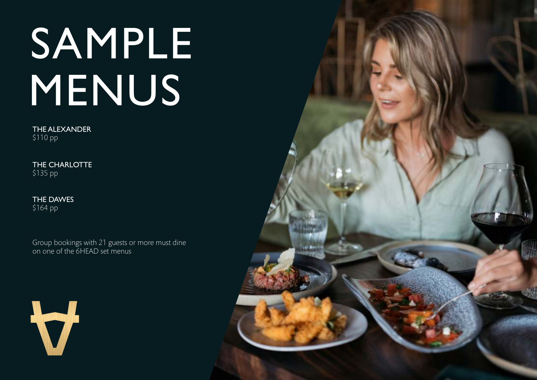# MENUS SAMPLE SAMPLE

THE ALEXANDER \$98 \$110 pp

THE CHARLOTTE \$135 pp

THE DAWES \$164 pp

Group bookings with 21 guests or more must dine on one of the 6HEAD set menus



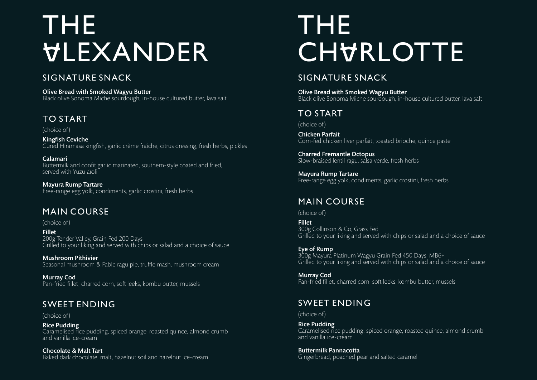### THE ALEXANDER

#### SIGNATURE SNACK

Olive Bread with Smoked Wagyu Butter Black olive Sonoma Miche sourdough, in-house cultured butter, lava salt

#### TO START

(choice of)

Kingfish Ceviche Cured Hiramasa kingfish, garlic crème fraîche, citrus dressing, fresh herbs, pickles

Calamari Buttermilk and confit garlic marinated, southern-style coated and fried, served with Yuzu aïoli

Mayura Rump Tartare Free-range egg yolk, condiments, garlic crostini, fresh herbs

#### MAIN COURSE

(choice of)

Fillet 200g Tender Valley, Grain Fed 200 Days Grilled to your liking and served with chips or salad and a choice of sauce

Mushroom Pithivier Seasonal mushroom & Fable ragu pie, truffle mash, mushroom cream

Murray Cod Pan-fried fillet, charred corn, soft leeks, kombu butter, mussels

#### SWEET ENDING

(choice of)

Rice Pudding Caramelised rice pudding, spiced orange, roasted quince, almond crumb and vanilla ice-cream

Chocolate & Malt Tart Baked dark chocolate, malt, hazelnut soil and hazelnut ice-cream

### THE **CHARLOTTE**

#### SIGNATURE SNACK

Olive Bread with Smoked Wagyu Butter Black olive Sonoma Miche sourdough, in-house cultured butter, lava salt

#### TO START

(choice of)

Chicken Parfait Corn-fed chicken liver parfait, toasted brioche, quince paste

Charred Fremantle Octopus Slow-braised lentil ragu, salsa verde, fresh herbs

Mayura Rump Tartare Free-range egg yolk, condiments, garlic crostini, fresh herbs

#### MAIN COURSE

(choice of)

Fillet 300g Collinson & Co, Grass Fed Grilled to your liking and served with chips or salad and a choice of sauce

Eye of Rump 300g Mayura Platinum Wagyu Grain Fed 450 Days, MB6+ Grilled to your liking and served with chips or salad and a choice of sauce

Murray Cod Pan-fried fillet, charred corn, soft leeks, kombu butter, mussels

#### SWEET ENDING

(choice of)

Rice Pudding Caramelised rice pudding, spiced orange, roasted quince, almond crumb and vanilla ice-cream

Buttermilk Pannacotta Gingerbread, poached pear and salted caramel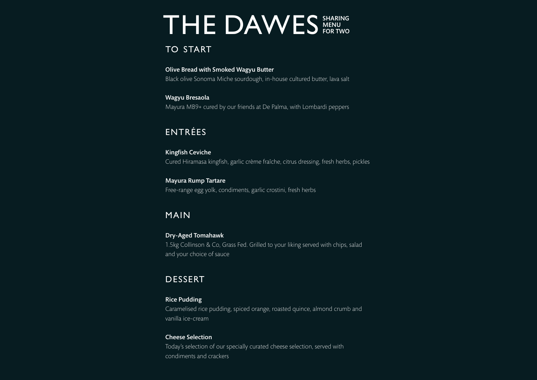#### THE DAWES SHARING MENU FOR TWO

#### TO START

#### Olive Bread with Smoked Wagyu Butter

Black olive Sonoma Miche sourdough, in-house cultured butter, lava salt

#### Wagyu Bresaola

Mayura MB9+ cured by our friends at De Palma, with Lombardi peppers

#### ENTRÉES

#### Kingfish Ceviche Cured Hiramasa kingfish, garlic crème fraîche, citrus dressing, fresh herbs, pickles

#### Mayura Rump Tartare Free-range egg yolk, condiments, garlic crostini, fresh herbs

#### MAIN

#### Dry-Aged Tomahawk 1.5kg Collinson & Co, Grass Fed. Grilled to your liking served with chips, salad and your choice of sauce

#### DESSERT

#### Rice Pudding

Caramelised rice pudding, spiced orange, roasted quince, almond crumb and vanilla ice-cream

#### Cheese Selection

Today's selection of our specially curated cheese selection, served with condiments and crackers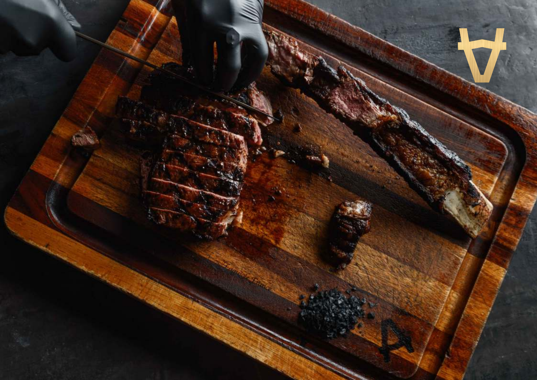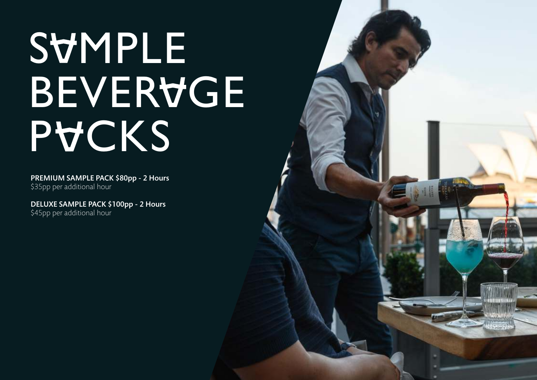# SAMPLE BEVERAGE PACKS

PREMIUM SAMPLE PACK \$80pp - 2 Hours \$35pp per additional hour

DELUXE SAMPLE PACK \$100pp - 2 Hours \$45pp per additional hour

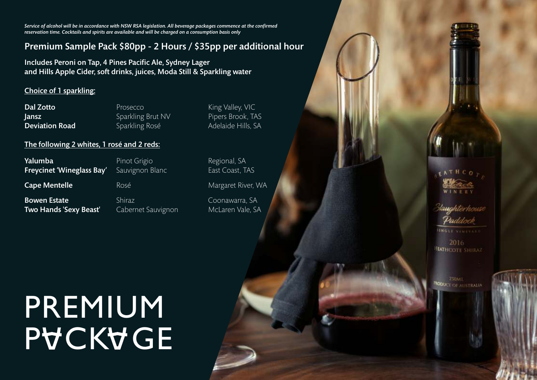*Service of alcohol will be in accordance with NSW RSA legislation. All beverage packages commence at the confirmed reservation time. Cocktails and spirits are available and will be charged on a consumption basis only*

#### Premium Sample Pack \$80pp - 2 Hours / \$35pp per additional hour

Includes Peroni on Tap, 4 Pines Pacific Ale, Sydney Lager and Hills Apple Cider, soft drinks, juices, Moda Still & Sparkling water

#### Choice of 1 sparkling:

**Dal Zotto** Prosecco King Valley, VIC<br> **Prosecco King Valley, VIC**<br>
Sparkling Brut NV Pipers Brook, TA **Jansz Sparkling Brut NV** Pipers Brook, TAS **Deviation Road** Sparkling Rosé Adelaide Hills, SA

#### The following 2 whites, 1 rosé and 2 reds:

**Yalumba** Pinot Grigio Regional, SA **Freycinet 'Wineglass Bay'** Sauvignon Blanc East Coast, TAS

**Bowen Estate** Shiraz Shiraz Coonawarra, SA Two Hands 'Sexy Beast' Cabernet Sauvignon McLaren Vale, SA

Cape Mentelle **Cape Mentelle** Rosé **Margaret River, WA** 

# PREMIUM **PACKACE**



2016 **EATHCOTE SHIRAZ** 

**ZSOMI ODUCT OF ALISTRALIA**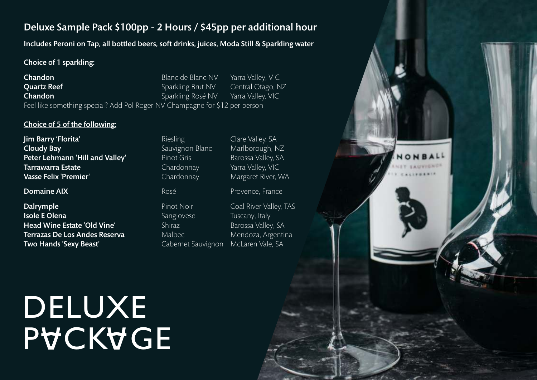#### Deluxe Sample Pack \$100pp - 2 Hours / \$45pp per additional hour

Includes Peroni on Tap, all bottled beers, soft drinks, juices, Moda Still & Sparkling water

#### Choice of 1 sparkling:

**Chandon** Blanc de Blanc NV Yarra Valley, VIC **Quartz Reef** Sparkling Brut NV Central Otago, NZ **Chandon** Sparkling Rosé NV Yarra Valley, VIC Feel like something special? Add Pol Roger NV Champagne for \$12 per person

#### Choice of 5 of the following:

**Jim Barry 'Florita'** The Riesling Clare Valley, SA **Cloudy Bay**<br> **Cloudy Bay** Sauvignon Blanc Marlborough, NZ<br>
Pinot Gris
Barossa Valley SA **Peter Lehmann 'Hill and Valley'** Pinot Gris Barossa Valley, SA **Tarrawarra Estate** Tarrawarra **Estate** Chardonnay Yarra Valley, VIC **Vasse Felix 'Premier'** Chardonnay Margaret River, WA

**Domaine AIX Commaine AIX Rosé** Rosé Provence, France

**Dalrymple Dalrymple Pinot Noir** Coal River Valley, TAS **Isole E Olena**<br> **Isole E Olena** Sangiovese Tuscany, Italy<br> **Shiraz** Barossa Valley, SA **Head Wine Estate 'Old Vine'** Shiraz **Terrazas De Los Andes Reserva** Malbec Mendoza, Argentina Two Hands 'Sexy Beast' Cabernet Sauvignon McLaren Vale, SA

## DELUXE **PACKACE**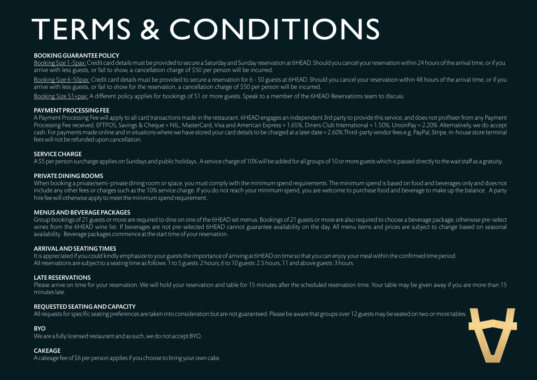## TERMS & CONDITIONS

#### BOOKING GUARANTEE POLICY

Booking Size 1-5pax: Credit card details must be provided to secure a Saturday and Sunday reservation at 6HEAD. Should you cancel your reservation within 24 hours of the arrival time, or if you arrive with less guests, or fail to show, a cancellation charge of \$50 per person will be incurred.

Booking Size 6-50pax: Credit card details must be provided to secure a reservation for 6 - 50 guests at 6HEAD. Should you cancel your reservation within 48 hours of the arrival time, or if you arrive with less guests, or fail to show for the reservation, a cancellation charge of \$50 per person will be incurred.

Booking Size 51+pax: A different policy applies for bookings of 51 or more guests. Speak to a member of the 6HEAD Reservations team to discuss.

#### PAYMENT PROCESSING FEE

A Payment Processing Fee will apply to all card transactions made in the restaurant. 6HEAD engages an independent 3rd party to provide this service, and does not profiteer from any Payment Processing Fee received. EFTPOS, Savings & Cheque = NIL, MasterCard, Visa and American Express = 1.65%, Diners Club International = 1.50%, UnionPay = 2.20%. Alternatively, we do accept cash. For payments made online and in situations where we have stored your card details to be charged at a later date = 2.60%.Third-party vendor fees e.g. PayPal, Stripe, in-house store terminal fees will not be refunded upon cancellation.

#### SERVICE CHARGE

A \$5 per person surcharge applies on Sundays and public holidays.. A service charge of 10% will be added for all groups of 10 or more guests which is passed directly to the wait staff as a gratuity.

#### PRIVATE DINING ROOMS

When booking a private/semi-private dining room or space, you must comply with the minimum spend requirements. The minimum spend is based on food and beverages only and does not include any other fees or charges such as the 10% service charge. If you do not reach your minimum spend, you are welcome to purchase food and beverage to make up the balance. A party hire fee will otherwise apply to meet the minimum spend requirement.

#### MENUS AND BEVERAGE PACKAGES

Group bookings of 21 guests or more are required to dine on one of the 6HEAD set menus. Bookings of 21 guests or more are also required to choose a beverage package, otherwise pre-select wines from the 6HEAD wine list. If beverages are not pre-selected 6HEAD cannot guarantee availability on the day. All menu items and prices are subject to change based on seasonal availability. Beverage packages commence at the start time of your reservation.

#### ARRIVAL AND SEATING TIMES

It is appreciated if you could kindly emphasize to your guests the importance of arriving at 6HEAD on time so that you can enjoy your meal within the confirmed time period. All reservations are subject to a seating time as follows: 1 to 5 guests: 2 hours, 6 to 10 guests: 2.5 hours, 11 and above guests: 3 hours.

#### LATE RESERVATIONS

Please arrive on time for your reservation. We will hold your reservation and table for 15 minutes after the scheduled reservation time. Your table may be given away if you are more than 15 minutes late.

#### REQUESTED SEATING AND CAPACITY

All requests for specific seating preferences are taken into consideration but are not guaranteed. Please be aware that groups over 12 guests may be seated on two or more tables.

#### **BYO**

We are a fully licensed restaurant and as such, we do not accept BYO.

#### CAKEAGE

A cakeage fee of \$6 per person applies if you choose to bring your own cake.